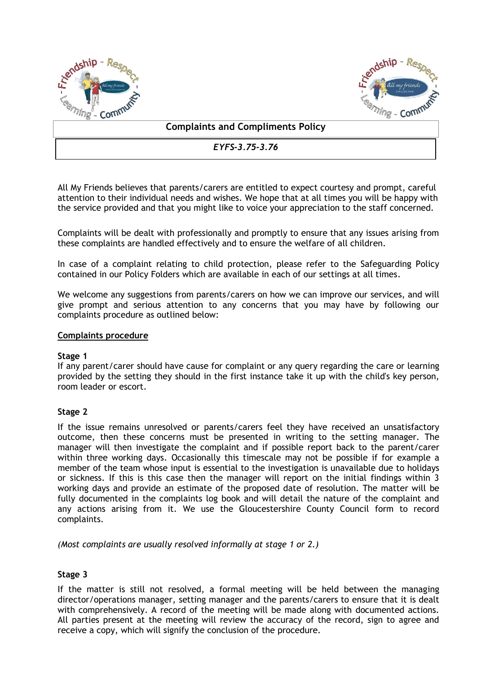



## **Complaints and Compliments Policy**

*EYFS-3.75-3.76*

All My Friends believes that parents/carers are entitled to expect courtesy and prompt, careful attention to their individual needs and wishes. We hope that at all times you will be happy with the service provided and that you might like to voice your appreciation to the staff concerned.

Complaints will be dealt with professionally and promptly to ensure that any issues arising from these complaints are handled effectively and to ensure the welfare of all children.

In case of a complaint relating to child protection, please refer to the Safeguarding Policy contained in our Policy Folders which are available in each of our settings at all times.

We welcome any suggestions from parents/carers on how we can improve our services, and will give prompt and serious attention to any concerns that you may have by following our complaints procedure as outlined below:

#### **Complaints procedure**

### **Stage 1**

If any parent/carer should have cause for complaint or any query regarding the care or learning provided by the setting they should in the first instance take it up with the child's key person, room leader or escort.

### **Stage 2**

If the issue remains unresolved or parents/carers feel they have received an unsatisfactory outcome, then these concerns must be presented in writing to the setting manager. The manager will then investigate the complaint and if possible report back to the parent/carer within three working days. Occasionally this timescale may not be possible if for example a member of the team whose input is essential to the investigation is unavailable due to holidays or sickness. If this is this case then the manager will report on the initial findings within 3 working days and provide an estimate of the proposed date of resolution. The matter will be fully documented in the complaints log book and will detail the nature of the complaint and any actions arising from it. We use the Gloucestershire County Council form to record complaints.

*(Most complaints are usually resolved informally at stage 1 or 2.)*

# **Stage 3**

If the matter is still not resolved, a formal meeting will be held between the managing director/operations manager, setting manager and the parents/carers to ensure that it is dealt with comprehensively. A record of the meeting will be made along with documented actions. All parties present at the meeting will review the accuracy of the record, sign to agree and receive a copy, which will signify the conclusion of the procedure.